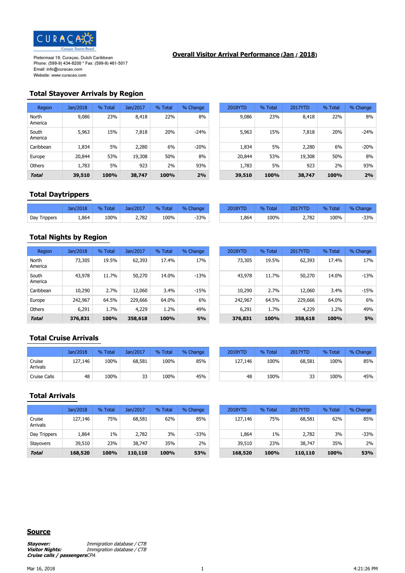

#### **Overall Visitor Arrival Performance (Jan / 2018)**

#### **Total Stayover Arrivals by Region**

| Region           | Jan/2018 | % Total | Jan/2017 | % Total | % Change | 2018YTD | % Total | 2017YTD | % Total | % Change |
|------------------|----------|---------|----------|---------|----------|---------|---------|---------|---------|----------|
| North<br>America | 9,086    | 23%     | 8,418    | 22%     | 8%       | 9,086   | 23%     | 8,418   | 22%     | 8%       |
| South<br>America | 5,963    | 15%     | 7,818    | 20%     | $-24%$   | 5,963   | 15%     | 7,818   | 20%     | $-24%$   |
| Caribbean        | 1,834    | 5%      | 2,280    | 6%      | $-20%$   | 1,834   | 5%      | 2,280   | 6%      | $-20%$   |
| Europe           | 20,844   | 53%     | 19,308   | 50%     | 8%       | 20,844  | 53%     | 19,308  | 50%     | 8%       |
| <b>Others</b>    | 1,783    | 5%      | 923      | 2%      | 93%      | 1,783   | 5%      | 923     | 2%      | 93%      |
| <b>Total</b>     | 39,510   | 100%    | 38,747   | 100%    | 2%       | 39,510  | 100%    | 38,747  | 100%    | 2%       |

| 2018  | % Total | Jan/2017 | % Total | % Change | 2018YTD | % Total | 2017YTD | % Total | % Change |
|-------|---------|----------|---------|----------|---------|---------|---------|---------|----------|
| 9,086 | 23%     | 8,418    | 22%     | 8%       | 9,086   | 23%     | 8,418   | 22%     | 8%       |
| 5,963 | 15%     | 7,818    | 20%     | $-24%$   | 5,963   | 15%     | 7,818   | 20%     | $-24%$   |
| 1,834 | 5%      | 2,280    | 6%      | $-20%$   | 1,834   | 5%      | 2,280   | 6%      | $-20%$   |
| 0,844 | 53%     | 19,308   | 50%     | 8%       | 20,844  | 53%     | 19,308  | 50%     | 8%       |
| 1,783 | 5%      | 923      | 2%      | 93%      | 1,783   | 5%      | 923     | 2%      | 93%      |
| ,510  | 100%    | 38,747   | 100%    | 2%       | 39,510  | 100%    | 38,747  | 100%    | 2%       |

## **Total Daytrippers**

|              | Jan/2018 | Total<br>$\%$ | Jan/2017 | % Total   | % Change | <b>2018YTD</b> | $\frac{0}{0}$<br>Tota. | <b>2017YTD</b> | <b>Total</b><br>$\frac{9}{6}$ | % Change |
|--------------|----------|---------------|----------|-----------|----------|----------------|------------------------|----------------|-------------------------------|----------|
| Day Trippers | 1,864    | 100%<br>.     | 2,782    | 100%<br>. | $-33%$   | 1,864          | 100%<br>.              | 2,782          | 100%                          | -33%     |

### **Total Nights by Region**

| Region           | Jan/2018 | % Total | Jan/2017 | % Total | % Change | 2018YTD | % Total | 2017YTD | % Total | % Change  |
|------------------|----------|---------|----------|---------|----------|---------|---------|---------|---------|-----------|
| North<br>America | 73,305   | 19.5%   | 62,393   | 17.4%   | 17%      | 73,305  | 19.5%   | 62,393  | 17.4%   | 17%       |
| South<br>America | 43,978   | 11.7%   | 50,270   | 14.0%   | $-13%$   | 43,978  | 11.7%   | 50,270  | 14.0%   | $-13%$    |
| Caribbean        | 10,290   | 2.7%    | 12,060   | 3.4%    | $-15%$   | 10,290  | 2.7%    | 12,060  | 3.4%    | $-15%$    |
| Europe           | 242,967  | 64.5%   | 229,666  | 64.0%   | 6%       | 242,967 | 64.5%   | 229,666 | 64.0%   | 6%        |
| <b>Others</b>    | 6,291    | 1.7%    | 4,229    | 1.2%    | 49%      | 6,291   | 1.7%    | 4,229   | 1.2%    | 49%       |
| <b>Total</b>     | 376,831  | 100%    | 358,618  | 100%    | 5%       | 376,831 | 100%    | 358,618 | 100%    | <b>5%</b> |

| /2018  | % Total | Jan/2017 | % Total | % Change  | 2018YTD | % Total | 2017YTD | % Total | % Change |
|--------|---------|----------|---------|-----------|---------|---------|---------|---------|----------|
| 73,305 | 19.5%   | 62,393   | 17.4%   | 17%       | 73,305  | 19.5%   | 62,393  | 17.4%   | 17%      |
| 43,978 | 11.7%   | 50,270   | 14.0%   | $-13%$    | 43,978  | 11.7%   | 50,270  | 14.0%   | $-13%$   |
| 10,290 | 2.7%    | 12,060   | 3.4%    | $-15%$    | 10,290  | 2.7%    | 12,060  | 3.4%    | $-15%$   |
| 42.967 | 64.5%   | 229,666  | 64.0%   | 6%        | 242,967 | 64.5%   | 229,666 | 64.0%   | 6%       |
| 6,291  | 1.7%    | 4,229    | 1.2%    | 49%       | 6,291   | 1.7%    | 4,229   | 1.2%    | 49%      |
| '6,831 | 100%    | 358,618  | 100%    | <b>5%</b> | 376,831 | 100%    | 358,618 | 100%    | 5%       |

## **Total Cruise Arrivals**

|                           | Jan/2018 | Total<br>$\frac{0}{2}$ | Jan/2017 | % Total | % Change | 2018YTD | % Total | 2017YTD | % Total | % Change |
|---------------------------|----------|------------------------|----------|---------|----------|---------|---------|---------|---------|----------|
| Cruise<br><b>Arrivals</b> | 127,146  | 100%                   | 68,581   | 100%    | 85%      | 127,146 | 100%    | 68,581  | 100%    | 85%      |
| Cruise Calls              | 48       | 100%                   | 33       | 100%    | 45%      | 48      | 100%    | 33      | 100%    | 45%      |

| Jan/2018 | % Total | Jan/2017 | % Total | % Change | 2018YTD | % Total | 2017YTD | % Total | % Change |
|----------|---------|----------|---------|----------|---------|---------|---------|---------|----------|
| 127,146  | 100%    | 68,581   | 100%    | 85%      | 127,146 | 100%    | 68,581  | 100%    | 85%      |
| 48       | 100%    | 33       | 100%    | 45%      | 48      | 100%    | 33      | 100%    | 45%      |

# **Total Arrivals**

| <b>Total</b>       | 168,520  | 100%    | 110,110  | 100%    | 53%      | 168,520 | 100%    | 110,110 | 100%    | 53%      |
|--------------------|----------|---------|----------|---------|----------|---------|---------|---------|---------|----------|
| Stayovers          | 39,510   | 23%     | 38,747   | 35%     | 2%       | 39,510  | 23%     | 38,747  | 35%     | 2%       |
| Day Trippers       | 1,864    | 1%      | 2,782    | 3%      | -33%     | 1,864   | $1\%$   | 2,782   | 3%      | $-33%$   |
| Cruise<br>Arrivals | 127,146  | 75%     | 68,581   | 62%     | 85%      | 127,146 | 75%     | 68,581  | 62%     | 85%      |
|                    | Jan/2018 | % Total | Jan/2017 | % Total | % Change | 2018YTD | % Total | 2017YTD | % Total | % Change |

| Jan/2018 | % Total | Jan/2017 | % Total | % Change | 2018YTD | % Total | 2017YTD | % Total | % Change |
|----------|---------|----------|---------|----------|---------|---------|---------|---------|----------|
| 127,146  | 75%     | 68,581   | 62%     | 85%      | 127,146 | 75%     | 68,581  | 62%     | 85%      |
| 1,864    | 1%      | 2,782    | 3%      | $-33%$   | 1,864   | $1\%$   | 2,782   | 3%      | $-33%$   |
| 39,510   | 23%     | 38,747   | 35%     | 2%       | 39,510  | 23%     | 38,747  | 35%     | 2%       |
| 168,520  | 100%    | 110,110  | 100%    | 53%      | 168,520 | 100%    | 110,110 | 100%    | 53%      |

#### **Source**

**Stayover: Immigration database / CTB**<br>**Visitor Nights: Immigration database / CTB Visitor Nights:** Immigration database / CTB **Cruise calls / passengers**CPA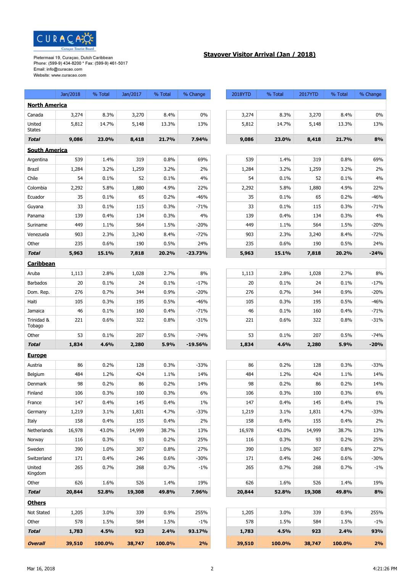

## **Stayover Visitor Arrival (Jan / 2018)**

|                         | Jan/2018 | % Total | Jan/2017 | % Total | % Change  | 2018YTD | % Total | 2017YTD | % Total | % Change |
|-------------------------|----------|---------|----------|---------|-----------|---------|---------|---------|---------|----------|
| <b>North America</b>    |          |         |          |         |           |         |         |         |         |          |
| Canada                  | 3,274    | 8.3%    | 3,270    | 8.4%    | $0\%$     | 3,274   | 8.3%    | 3,270   | 8.4%    | 0%       |
| United<br><b>States</b> | 5,812    | 14.7%   | 5,148    | 13.3%   | 13%       | 5,812   | 14.7%   | 5,148   | 13.3%   | 13%      |
| <b>Total</b>            | 9,086    | 23.0%   | 8,418    | 21.7%   | 7.94%     | 9,086   | 23.0%   | 8,418   | 21.7%   | 8%       |
| <b>South America</b>    |          |         |          |         |           |         |         |         |         |          |
| Argentina               | 539      | 1.4%    | 319      | 0.8%    | 69%       | 539     | 1.4%    | 319     | 0.8%    | 69%      |
| <b>Brazil</b>           | 1,284    | 3.2%    | 1,259    | 3.2%    | 2%        | 1,284   | 3.2%    | 1,259   | 3.2%    | 2%       |
| Chile                   | 54       | 0.1%    | 52       | 0.1%    | 4%        | 54      | 0.1%    | 52      | 0.1%    | 4%       |
| Colombia                | 2,292    | 5.8%    | 1,880    | 4.9%    | 22%       | 2,292   | 5.8%    | 1,880   | 4.9%    | 22%      |
| Ecuador                 | 35       | 0.1%    | 65       | 0.2%    | -46%      | 35      | 0.1%    | 65      | 0.2%    | -46%     |
| Guyana                  | 33       | 0.1%    | 115      | 0.3%    | $-71%$    | 33      | 0.1%    | 115     | 0.3%    | $-71%$   |
| Panama                  | 139      | 0.4%    | 134      | 0.3%    | 4%        | 139     | 0.4%    | 134     | 0.3%    | 4%       |
| Suriname                | 449      | 1.1%    | 564      | 1.5%    | $-20%$    | 449     | 1.1%    | 564     | 1.5%    | $-20%$   |
| Venezuela               | 903      | 2.3%    | 3,240    | 8.4%    | $-72%$    | 903     | 2.3%    | 3,240   | 8.4%    | $-72%$   |
| Other                   | 235      | 0.6%    | 190      | 0.5%    | 24%       | 235     | 0.6%    | 190     | 0.5%    | 24%      |
| <b>Total</b>            | 5,963    | 15.1%   | 7,818    | 20.2%   | $-23.73%$ | 5,963   | 15.1%   | 7,818   | 20.2%   | $-24%$   |
| <b>Caribbean</b>        |          |         |          |         |           |         |         |         |         |          |
| Aruba                   | 1,113    | 2.8%    | 1,028    | 2.7%    | 8%        | 1,113   | 2.8%    | 1,028   | 2.7%    | 8%       |
| <b>Barbados</b>         | 20       | 0.1%    | 24       | 0.1%    | $-17%$    | 20      | 0.1%    | 24      | 0.1%    | $-17%$   |
| Dom. Rep.               | 276      | 0.7%    | 344      | 0.9%    | $-20%$    | 276     | 0.7%    | 344     | 0.9%    | $-20%$   |
| Haiti                   | 105      | 0.3%    | 195      | 0.5%    | -46%      | 105     | 0.3%    | 195     | 0.5%    | $-46%$   |
| Jamaica                 | 46       | 0.1%    | 160      | 0.4%    | $-71%$    | 46      | 0.1%    | 160     | 0.4%    | $-71%$   |
| Trinidad &<br>Tobago    | 221      | 0.6%    | 322      | 0.8%    | $-31%$    | 221     | 0.6%    | 322     | 0.8%    | $-31%$   |
| Other                   | 53       | 0.1%    | 207      | 0.5%    | $-74%$    | 53      | 0.1%    | 207     | 0.5%    | $-74%$   |
| <b>Total</b>            | 1,834    | 4.6%    | 2,280    | 5.9%    | $-19.56%$ | 1,834   | 4.6%    | 2,280   | 5.9%    | $-20%$   |
| <b>Europe</b>           |          |         |          |         |           |         |         |         |         |          |
| Austria                 | 86       | 0.2%    | 128      | 0.3%    | $-33%$    | 86      | 0.2%    | 128     | 0.3%    | $-33%$   |
| Belgium                 | 484      | 1.2%    | 424      | 1.1%    | 14%       | 484     | 1.2%    | 424     | 1.1%    | 14%      |
| Denmark                 | 98       | 0.2%    | 86       | 0.2%    | 14%       | 98      | 0.2%    | 86      | 0.2%    | 14%      |
| Finland                 | 106      | 0.3%    | 100      | 0.3%    | $6\%$     | 106     | 0.3%    | 100     | 0.3%    | $6\%$    |
| France                  | 147      | 0.4%    | 145      | 0.4%    | $1\%$     | 147     | 0.4%    | 145     | 0.4%    | $1\%$    |
| Germany                 | 1,219    | 3.1%    | 1,831    | 4.7%    | $-33%$    | 1,219   | 3.1%    | 1,831   | 4.7%    | $-33%$   |
| Italy                   | 158      | 0.4%    | 155      | 0.4%    | 2%        | 158     | 0.4%    | 155     | 0.4%    | 2%       |
| Netherlands             | 16,978   | 43.0%   | 14,999   | 38.7%   | 13%       | 16,978  | 43.0%   | 14,999  | 38.7%   | 13%      |
| Norway                  | 116      | 0.3%    | 93       | 0.2%    | 25%       | 116     | 0.3%    | 93      | 0.2%    | 25%      |
| Sweden                  | 390      | 1.0%    | 307      | 0.8%    | 27%       | 390     | 1.0%    | 307     | 0.8%    | 27%      |
| Switzerland             | 171      | 0.4%    | 246      | 0.6%    | $-30%$    | 171     | 0.4%    | 246     | 0.6%    | $-30%$   |
| United<br>Kingdom       | 265      | 0.7%    | 268      | 0.7%    | $-1\%$    | 265     | 0.7%    | 268     | 0.7%    | $-1\%$   |
| Other                   | 626      | 1.6%    | 526      | 1.4%    | 19%       | 626     | 1.6%    | 526     | 1.4%    | 19%      |
| <b>Total</b>            | 20,844   | 52.8%   | 19,308   | 49.8%   | 7.96%     | 20,844  | 52.8%   | 19,308  | 49.8%   | 8%       |
| <b>Others</b>           |          |         |          |         |           |         |         |         |         |          |
| Not Stated              | 1,205    | 3.0%    | 339      | 0.9%    | 255%      | 1,205   | 3.0%    | 339     | 0.9%    | 255%     |
| Other                   | 578      | 1.5%    | 584      | 1.5%    | $-1\%$    | 578     | 1.5%    | 584     | 1.5%    | $-1\%$   |
| <b>Total</b>            | 1,783    | 4.5%    | 923      | 2.4%    | 93.17%    | 1,783   | 4.5%    | 923     | 2.4%    | 93%      |
| <b>Overall</b>          | 39,510   | 100.0%  | 38,747   | 100.0%  | 2%        | 39,510  | 100.0%  | 38,747  | 100.0%  | 2%       |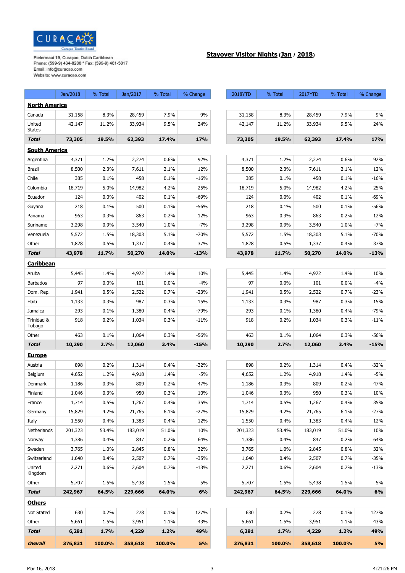

## **Stayover Visitor Nights (Jan / 2018)**

|                         | Jan/2018 | % Total | Jan/2017 | % Total | % Change | 2018YTD | % Total | 2017YTD | % Total | % Change |
|-------------------------|----------|---------|----------|---------|----------|---------|---------|---------|---------|----------|
| <b>North America</b>    |          |         |          |         |          |         |         |         |         |          |
| Canada                  | 31,158   | 8.3%    | 28,459   | 7.9%    | 9%       | 31,158  | 8.3%    | 28,459  | 7.9%    | 9%       |
| United<br><b>States</b> | 42,147   | 11.2%   | 33,934   | 9.5%    | 24%      | 42,147  | 11.2%   | 33,934  | 9.5%    | 24%      |
| <b>Total</b>            | 73,305   | 19.5%   | 62,393   | 17.4%   | 17%      | 73,305  | 19.5%   | 62,393  | 17.4%   | 17%      |
| <b>South America</b>    |          |         |          |         |          |         |         |         |         |          |
| Argentina               | 4,371    | 1.2%    | 2,274    | 0.6%    | 92%      | 4,371   | 1.2%    | 2,274   | 0.6%    | 92%      |
| <b>Brazil</b>           | 8,500    | 2.3%    | 7,611    | 2.1%    | 12%      | 8,500   | 2.3%    | 7,611   | 2.1%    | 12%      |
| Chile                   | 385      | 0.1%    | 458      | 0.1%    | $-16%$   | 385     | 0.1%    | 458     | 0.1%    | $-16%$   |
| Colombia                | 18,719   | 5.0%    | 14,982   | 4.2%    | 25%      | 18,719  | 5.0%    | 14,982  | 4.2%    | 25%      |
| Ecuador                 | 124      | 0.0%    | 402      | 0.1%    | -69%     | 124     | 0.0%    | 402     | 0.1%    | $-69%$   |
| Guyana                  | 218      | 0.1%    | 500      | 0.1%    | $-56%$   | 218     | 0.1%    | 500     | 0.1%    | $-56%$   |
| Panama                  | 963      | 0.3%    | 863      | 0.2%    | 12%      | 963     | 0.3%    | 863     | 0.2%    | 12%      |
| Suriname                | 3,298    | 0.9%    | 3,540    | 1.0%    | $-7%$    | 3,298   | 0.9%    | 3,540   | 1.0%    | $-7%$    |
| Venezuela               | 5,572    | 1.5%    | 18,303   | 5.1%    | $-70%$   | 5,572   | 1.5%    | 18,303  | 5.1%    | $-70%$   |
| Other                   | 1,828    | 0.5%    | 1,337    | 0.4%    | 37%      | 1,828   | 0.5%    | 1,337   | 0.4%    | 37%      |
| <b>Total</b>            | 43,978   | 11.7%   | 50,270   | 14.0%   | $-13%$   | 43,978  | 11.7%   | 50,270  | 14.0%   | $-13%$   |
| <b>Caribbean</b>        |          |         |          |         |          |         |         |         |         |          |
| Aruba                   | 5,445    | 1.4%    | 4,972    | 1.4%    | 10%      | 5,445   | 1.4%    | 4,972   | 1.4%    | 10%      |
| <b>Barbados</b>         | 97       | 0.0%    | 101      | 0.0%    | $-4%$    | 97      | 0.0%    | 101     | 0.0%    | $-4%$    |
| Dom. Rep.               | 1,941    | 0.5%    | 2,522    | 0.7%    | $-23%$   | 1,941   | 0.5%    | 2,522   | 0.7%    | $-23%$   |
| Haiti                   | 1,133    | 0.3%    | 987      | 0.3%    | 15%      | 1,133   | 0.3%    | 987     | 0.3%    | 15%      |
| Jamaica                 | 293      | 0.1%    | 1,380    | 0.4%    | $-79%$   | 293     | 0.1%    | 1,380   | 0.4%    | $-79%$   |
| Trinidad &<br>Tobago    | 918      | 0.2%    | 1,034    | 0.3%    | $-11%$   | 918     | 0.2%    | 1,034   | 0.3%    | $-11%$   |
| Other                   | 463      | 0.1%    | 1,064    | 0.3%    | $-56%$   | 463     | 0.1%    | 1,064   | 0.3%    | $-56%$   |
| <b>Total</b>            | 10,290   | 2.7%    | 12,060   | 3.4%    | $-15%$   | 10,290  | 2.7%    | 12,060  | 3.4%    | $-15%$   |
| <b>Europe</b>           |          |         |          |         |          |         |         |         |         |          |
| Austria                 | 898      | 0.2%    | 1,314    | 0.4%    | $-32%$   | 898     | 0.2%    | 1,314   | 0.4%    | $-32%$   |
| Belgium                 | 4,652    | 1.2%    | 4,918    | 1.4%    | $-5%$    | 4,652   | 1.2%    | 4,918   | 1.4%    | $-5%$    |
| Denmark                 | 1,186    | 0.3%    | 809      | 0.2%    | 47%      | 1,186   | 0.3%    | 809     | 0.2%    | 47%      |
| Finland                 | 1,046    | 0.3%    | 950      | 0.3%    | 10%      | 1,046   | 0.3%    | 950     | 0.3%    | 10%      |
| France                  | 1,714    | 0.5%    | 1,267    | 0.4%    | 35%      | 1,714   | 0.5%    | 1,267   | 0.4%    | 35%      |
| Germany                 | 15,829   | 4.2%    | 21,765   | 6.1%    | $-27%$   | 15,829  | 4.2%    | 21,765  | 6.1%    | $-27%$   |
| Italy                   | 1,550    | 0.4%    | 1,383    | 0.4%    | 12%      | 1,550   | 0.4%    | 1,383   | 0.4%    | 12%      |
| Netherlands             | 201,323  | 53.4%   | 183,019  | 51.0%   | 10%      | 201,323 | 53.4%   | 183,019 | 51.0%   | 10%      |
| Norway                  | 1,386    | 0.4%    | 847      | 0.2%    | 64%      | 1,386   | 0.4%    | 847     | 0.2%    | 64%      |
| Sweden                  | 3,765    | 1.0%    | 2,845    | 0.8%    | 32%      | 3,765   | 1.0%    | 2,845   | 0.8%    | 32%      |
| Switzerland             | 1,640    | 0.4%    | 2,507    | 0.7%    | $-35%$   | 1,640   | 0.4%    | 2,507   | 0.7%    | $-35%$   |
| United<br>Kingdom       | 2,271    | 0.6%    | 2,604    | 0.7%    | $-13%$   | 2,271   | 0.6%    | 2,604   | 0.7%    | $-13%$   |
| Other                   | 5,707    | 1.5%    | 5,438    | 1.5%    | 5%       | 5,707   | 1.5%    | 5,438   | 1.5%    | 5%       |
| <b>Total</b>            | 242,967  | 64.5%   | 229,666  | 64.0%   | 6%       | 242,967 | 64.5%   | 229,666 | 64.0%   | 6%       |
| <b>Others</b>           |          |         |          |         |          |         |         |         |         |          |
| Not Stated              | 630      | 0.2%    | 278      | 0.1%    | 127%     | 630     | 0.2%    | 278     | 0.1%    | 127%     |
| Other                   | 5,661    | 1.5%    | 3,951    | 1.1%    | 43%      | 5,661   | 1.5%    | 3,951   | 1.1%    | 43%      |
| <b>Total</b>            | 6,291    | 1.7%    | 4,229    | 1.2%    | 49%      | 6,291   | 1.7%    | 4,229   | 1.2%    | 49%      |
| <b>Overall</b>          | 376,831  | 100.0%  | 358,618  | 100.0%  | 5%       | 376,831 | 100.0%  | 358,618 | 100.0%  | 5%       |